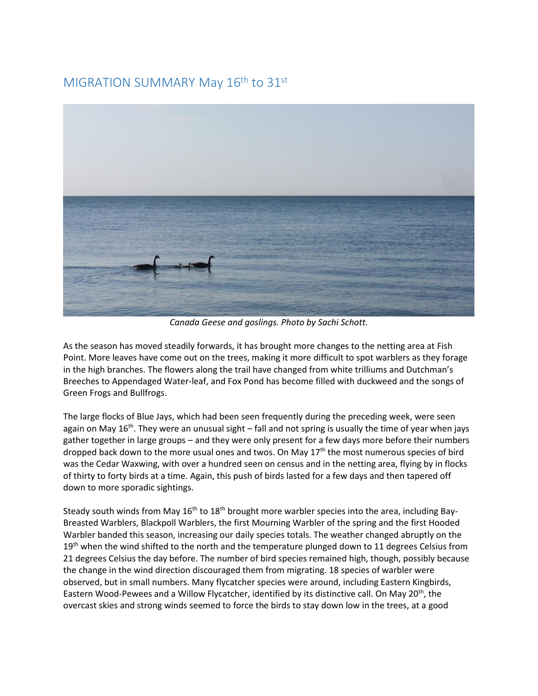## MIGRATION SUMMARY May 16<sup>th</sup> to 31<sup>st</sup>



*Canada Geese and goslings. Photo by Sachi Schott.* 

As the season has moved steadily forwards, it has brought more changes to the netting area at Fish Point. More leaves have come out on the trees, making it more difficult to spot warblers as they forage in the high branches. The flowers along the trail have changed from white trilliums and Dutchman's Breeches to Appendaged Water-leaf, and Fox Pond has become filled with duckweed and the songs of Green Frogs and Bullfrogs.

The large flocks of Blue Jays, which had been seen frequently during the preceding week, were seen again on May 16<sup>th</sup>. They were an unusual sight – fall and not spring is usually the time of year when jays gather together in large groups – and they were only present for a few days more before their numbers dropped back down to the more usual ones and twos. On May 17<sup>th</sup> the most numerous species of bird was the Cedar Waxwing, with over a hundred seen on census and in the netting area, flying by in flocks of thirty to forty birds at a time. Again, this push of birds lasted for a few days and then tapered off down to more sporadic sightings.

Steady south winds from May 16<sup>th</sup> to 18<sup>th</sup> brought more warbler species into the area, including Bay-Breasted Warblers, Blackpoll Warblers, the first Mourning Warbler of the spring and the first Hooded Warbler banded this season, increasing our daily species totals. The weather changed abruptly on the 19<sup>th</sup> when the wind shifted to the north and the temperature plunged down to 11 degrees Celsius from 21 degrees Celsius the day before. The number of bird species remained high, though, possibly because the change in the wind direction discouraged them from migrating. 18 species of warbler were observed, but in small numbers. Many flycatcher species were around, including Eastern Kingbirds, Eastern Wood-Pewees and a Willow Flycatcher, identified by its distinctive call. On May 20th, the overcast skies and strong winds seemed to force the birds to stay down low in the trees, at a good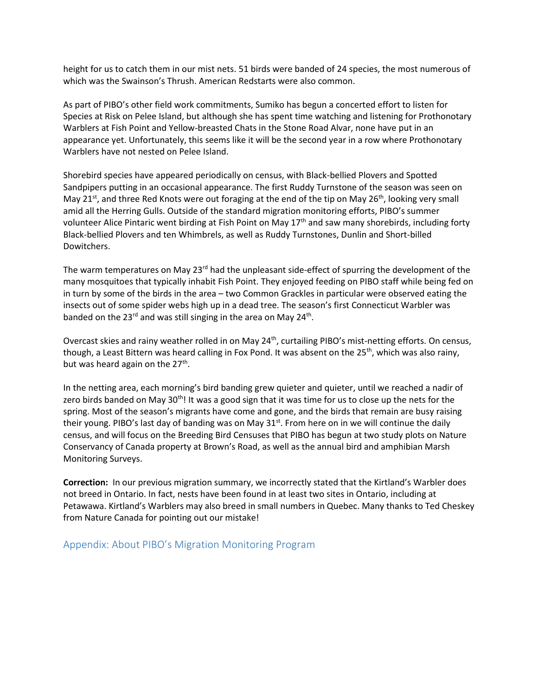height for us to catch them in our mist nets. 51 birds were banded of 24 species, the most numerous of which was the Swainson's Thrush. American Redstarts were also common.

As part of PIBO's other field work commitments, Sumiko has begun a concerted effort to listen for Species at Risk on Pelee Island, but although she has spent time watching and listening for Prothonotary Warblers at Fish Point and Yellow-breasted Chats in the Stone Road Alvar, none have put in an appearance yet. Unfortunately, this seems like it will be the second year in a row where Prothonotary Warblers have not nested on Pelee Island.

Shorebird species have appeared periodically on census, with Black-bellied Plovers and Spotted Sandpipers putting in an occasional appearance. The first Ruddy Turnstone of the season was seen on May 21<sup>st</sup>, and three Red Knots were out foraging at the end of the tip on May 26<sup>th</sup>, looking very small amid all the Herring Gulls. Outside of the standard migration monitoring efforts, PIBO's summer volunteer Alice Pintaric went birding at Fish Point on May 17<sup>th</sup> and saw many shorebirds, including forty Black-bellied Plovers and ten Whimbrels, as well as Ruddy Turnstones, Dunlin and Short-billed Dowitchers.

The warm temperatures on May 23 $<sup>rd</sup>$  had the unpleasant side-effect of spurring the development of the</sup> many mosquitoes that typically inhabit Fish Point. They enjoyed feeding on PIBO staff while being fed on in turn by some of the birds in the area – two Common Grackles in particular were observed eating the insects out of some spider webs high up in a dead tree. The season's first Connecticut Warbler was banded on the 23 $^{\text{rd}}$  and was still singing in the area on May 24<sup>th</sup>.

Overcast skies and rainy weather rolled in on May 24<sup>th</sup>, curtailing PIBO's mist-netting efforts. On census, though, a Least Bittern was heard calling in Fox Pond. It was absent on the 25<sup>th</sup>, which was also rainy, but was heard again on the 27<sup>th</sup>.

In the netting area, each morning's bird banding grew quieter and quieter, until we reached a nadir of zero birds banded on May 30<sup>th</sup>! It was a good sign that it was time for us to close up the nets for the spring. Most of the season's migrants have come and gone, and the birds that remain are busy raising their young. PIBO's last day of banding was on May  $31<sup>st</sup>$ . From here on in we will continue the daily census, and will focus on the Breeding Bird Censuses that PIBO has begun at two study plots on Nature Conservancy of Canada property at Brown's Road, as well as the annual bird and amphibian Marsh Monitoring Surveys.

**Correction:** In our previous migration summary, we incorrectly stated that the Kirtland's Warbler does not breed in Ontario. In fact, nests have been found in at least two sites in Ontario, including at Petawawa. Kirtland's Warblers may also breed in small numbers in Quebec. Many thanks to Ted Cheskey from Nature Canada for pointing out our mistake!

Appendix: About PIBO's Migration Monitoring Program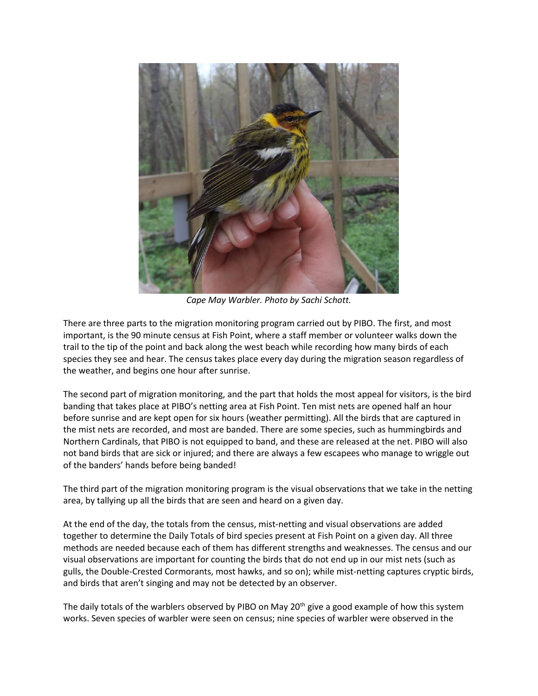

*Cape May Warbler. Photo by Sachi Schott.* 

There are three parts to the migration monitoring program carried out by PIBO. The first, and most important, is the 90 minute census at Fish Point, where a staff member or volunteer walks down the trail to the tip of the point and back along the west beach while recording how many birds of each species they see and hear. The census takes place every day during the migration season regardless of the weather, and begins one hour after sunrise.

The second part of migration monitoring, and the part that holds the most appeal for visitors, is the bird banding that takes place at PIBO's netting area at Fish Point. Ten mist nets are opened half an hour before sunrise and are kept open for six hours (weather permitting). All the birds that are captured in the mist nets are recorded, and most are banded. There are some species, such as hummingbirds and Northern Cardinals, that PIBO is not equipped to band, and these are released at the net. PIBO will also not band birds that are sick or injured; and there are always a few escapees who manage to wriggle out of the banders' hands before being banded!

The third part of the migration monitoring program is the visual observations that we take in the netting area, by tallying up all the birds that are seen and heard on a given day.

At the end of the day, the totals from the census, mist-netting and visual observations are added together to determine the Daily Totals of bird species present at Fish Point on a given day. All three methods are needed because each of them has different strengths and weaknesses. The census and our visual observations are important for counting the birds that do not end up in our mist nets (such as gulls, the Double-Crested Cormorants, most hawks, and so on); while mist-netting captures cryptic birds, and birds that aren't singing and may not be detected by an observer.

The daily totals of the warblers observed by PIBO on May 20<sup>th</sup> give a good example of how this system works. Seven species of warbler were seen on census; nine species of warbler were observed in the